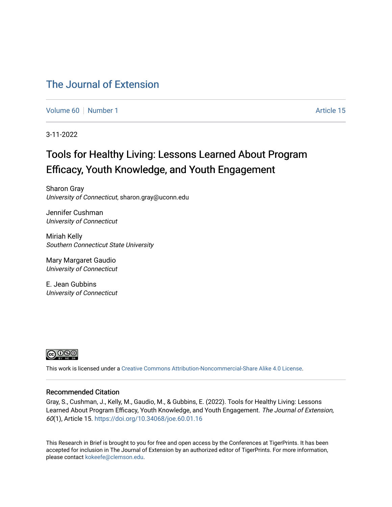### [The Journal of Extension](https://tigerprints.clemson.edu/joe)

[Volume 60](https://tigerprints.clemson.edu/joe/vol60) [Number 1](https://tigerprints.clemson.edu/joe/vol60/iss1) Article 15

3-11-2022

## Tools for Healthy Living: Lessons Learned About Program Efficacy, Youth Knowledge, and Youth Engagement

Sharon Gray University of Connecticut, sharon.gray@uconn.edu

Jennifer Cushman University of Connecticut

Miriah Kelly Southern Connecticut State University

Mary Margaret Gaudio University of Connecticut

E. Jean Gubbins University of Connecticut



This work is licensed under a [Creative Commons Attribution-Noncommercial-Share Alike 4.0 License.](https://creativecommons.org/licenses/by-nc-sa/4.0/)

#### Recommended Citation

Gray, S., Cushman, J., Kelly, M., Gaudio, M., & Gubbins, E. (2022). Tools for Healthy Living: Lessons Learned About Program Efficacy, Youth Knowledge, and Youth Engagement. The Journal of Extension, 60(1), Article 15. <https://doi.org/10.34068/joe.60.01.16>

This Research in Brief is brought to you for free and open access by the Conferences at TigerPrints. It has been accepted for inclusion in The Journal of Extension by an authorized editor of TigerPrints. For more information, please contact [kokeefe@clemson.edu](mailto:kokeefe@clemson.edu).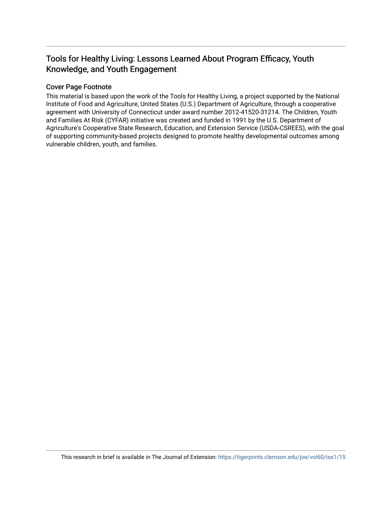### Tools for Healthy Living: Lessons Learned About Program Efficacy, Youth Knowledge, and Youth Engagement

#### Cover Page Footnote

This material is based upon the work of the Tools for Healthy Living, a project supported by the National Institute of Food and Agriculture, United States (U.S.) Department of Agriculture, through a cooperative agreement with University of Connecticut under award number 2012-41520-31214. The Children, Youth and Families At Risk (CYFAR) initiative was created and funded in 1991 by the U.S. Department of Agriculture's Cooperative State Research, Education, and Extension Service (USDA-CSREES), with the goal of supporting community-based projects designed to promote healthy developmental outcomes among vulnerable children, youth, and families.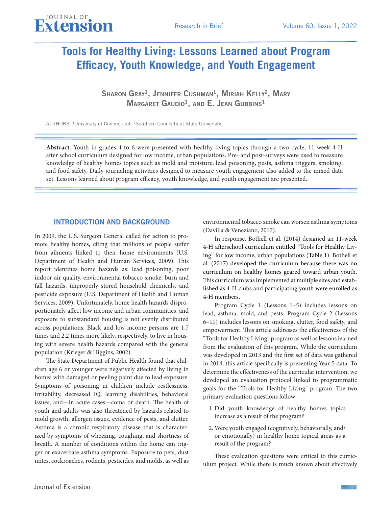# **Tools for Healthy Living: Lessons Learned about Program Efficacy, Youth Knowledge, and Youth Engagement**

Sharon Gray<sup>1</sup>, Jennifer Cushman<sup>1</sup>, Miriah Kelly<sup>2</sup>, Mary  $M$ Argaret Gaudio<sup>1</sup>, and E. Jean Gubbins<sup>1</sup>

AUTHORS: 1University of Connecticut. 2Southern Connecticut State University.

**Abstract**. Youth in grades 4 to 6 were presented with healthy living topics through a two cycle, 11-week 4-H after school curriculum designed for low income, urban populations. Pre- and post-surveys were used to measure knowledge of healthy homes topics such as mold and moisture, lead poisoning, pests, asthma triggers, smoking, and food safety. Daily journaling activities designed to measure youth engagement also added to the mixed data set. Lessons learned about program efficacy, youth knowledge, and youth engagement are presented.

#### INTRODUCTION AND BACKGROUND

In 2009, the U.S. Surgeon General called for action to promote healthy homes, citing that millions of people suffer from ailments linked to their home environments (U.S. Department of Health and Human Services, 2009). This report identifies home hazards as: lead poisoning, poor indoor air quality, environmental tobacco smoke, burn and fall hazards, improperly stored household chemicals, and pesticide exposure (U.S. Department of Health and Human Services, 2009). Unfortunately, home health hazards disproportionately affect low income and urban communities, and exposure to substandard housing is not evenly distributed across populations. Black and low-income persons are 1.7 times and 2.2 times more likely, respectively, to live in housing with severe health hazards compared with the general population (Krieger & Higgins, 2002).

The State Department of Public Health found that children age 6 or younger were negatively affected by living in homes with damaged or peeling paint due to lead exposure. Symptoms of poisoning in children include restlessness, irritability, decreased IQ, learning disabilities, behavioral issues, and—in acute cases—coma or death. The health of youth and adults was also threatened by hazards related to mold growth, allergen issues, evidence of pests, and clutter. Asthma is a chronic respiratory disease that is characterized by symptoms of wheezing, coughing, and shortness of breath. A number of conditions within the home can trigger or exacerbate asthma symptoms. Exposure to pets, dust mites, cockroaches, rodents, pesticides, and molds, as well as

environmental tobacco smoke can worsen asthma symptoms (Davilla & Veneziano, 2017).

In response, Bothell et al. (2014) designed an 11-week 4-H afterschool curriculum entitled "Tools for Healthy Living" for low income, urban populations (Table 1). Bothell et al. (2017) developed the curriculum because there was no curriculum on healthy homes geared toward urban youth. This curriculum was implemented at multiple sites and established as 4-H clubs and participating youth were enrolled as 4-H members.

Program Cycle 1 (Lessons 1–5) includes lessons on lead, asthma, mold, and pests. Program Cycle 2 (Lessons 6–11) includes lessons on smoking, clutter, food safety, and empowerment. This article addresses the effectiveness of the "Tools for Healthy Living" program as well as lessons learned from the evaluation of this program. While the curriculum was developed in 2013 and the first set of data was gathered in 2014, this article specifically is presenting Year 5 data. To determine the effectiveness of the curricular intervention, we developed an evaluation protocol linked to programmatic goals for the "Tools for Healthy Living" program. The two primary evaluation questions follow:

- 1. Did youth knowledge of healthy homes topics increase as a result of the program?
- 2. Were youth engaged (cognitively, behaviorally, and/ or emotionally) in healthy home topical areas as a result of the program?

These evaluation questions were critical to this curriculum project. While there is much known about effectively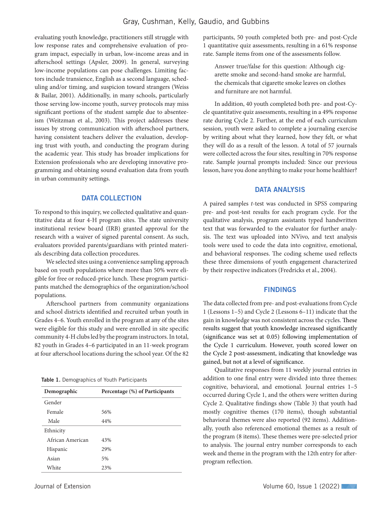evaluating youth knowledge, practitioners still struggle with low response rates and comprehensive evaluation of program impact, especially in urban, low-income areas and in afterschool settings (Apsler, 2009). In general, surveying low-income populations can pose challenges. Limiting factors include transience, English as a second language, scheduling and/or timing, and suspicion toward strangers (Weiss & Bailar, 2001). Additionally, in many schools, particularly those serving low-income youth, survey protocols may miss significant portions of the student sample due to absenteeism (Weitzman et al., 2003). This project addresses these issues by strong communication with afterschool partners, having consistent teachers deliver the evaluation, developing trust with youth, and conducting the program during the academic year. This study has broader implications for Extension professionals who are developing innovative programming and obtaining sound evaluation data from youth in urban community settings.

#### DATA COLLECTION

To respond to this inquiry, we collected qualitative and quantitative data at four 4-H program sites. The state university institutional review board (IRB) granted approval for the research with a waiver of signed parental consent. As such, evaluators provided parents/guardians with printed materials describing data collection procedures.

We selected sites using a convenience sampling approach based on youth populations where more than 50% were eligible for free or reduced-price lunch. These program participants matched the demographics of the organization/school populations.

Afterschool partners from community organizations and school districts identified and recruited urban youth in Grades 4–6. Youth enrolled in the program at any of the sites were eligible for this study and were enrolled in site specific community 4-H clubs led by the program instructors. In total, 82 youth in Grades 4–6 participated in an 11-week program at four afterschool locations during the school year. Of the 82

|  |  |  | Table 1. Demographics of Youth Participants |  |  |
|--|--|--|---------------------------------------------|--|--|
|--|--|--|---------------------------------------------|--|--|

| Demographic      | Percentage (%) of Participants |
|------------------|--------------------------------|
| Gender           |                                |
| Female           | 56%                            |
| Male             | 44%                            |
| Ethnicity        |                                |
| African American | 43%                            |
| Hispanic         | 29%                            |
| Asian            | 5%                             |
| White            | 23%                            |

participants, 50 youth completed both pre- and post-Cycle 1 quantitative quiz assessments, resulting in a 61% response rate. Sample items from one of the assessments follow.

Answer true/false for this question: Although cigarette smoke and second-hand smoke are harmful, the chemicals that cigarette smoke leaves on clothes and furniture are not harmful.

In addition, 40 youth completed both pre- and post-Cycle quantitative quiz assessments, resulting in a 49% response rate during Cycle 2. Further, at the end of each curriculum session, youth were asked to complete a journaling exercise by writing about what they learned, how they felt, or what they will do as a result of the lesson. A total of 57 journals were collected across the four sites, resulting in 70% response rate. Sample journal prompts included: Since our previous lesson, have you done anything to make your home healthier?

#### DATA ANALYSIS

A paired samples *t*-test was conducted in SPSS comparing pre- and post-test results for each program cycle. For the qualitative analysis, program assistants typed handwritten text that was forwarded to the evaluator for further analysis. The text was uploaded into NVivo, and text analysis tools were used to code the data into cognitive, emotional, and behavioral responses. The coding scheme used reflects these three dimensions of youth engagement characterized by their respective indicators (Fredricks et al., 2004).

#### FINDINGS

The data collected from pre- and post-evaluations from Cycle 1 (Lessons 1–5) and Cycle 2 (Lessons 6–11) indicate that the gain in knowledge was not consistent across the cycles. These results suggest that youth knowledge increased significantly (significance was set at 0.05) following implementation of the Cycle 1 curriculum. However, youth scored lower on the Cycle 2 post-assessment, indicating that knowledge was gained, but not at a level of significance.

Qualitative responses from 11 weekly journal entries in addition to one final entry were divided into three themes: cognitive, behavioral, and emotional. Journal entries 1–5 occurred during Cycle 1, and the others were written during Cycle 2. Qualitative findings show (Table 3) that youth had mostly cognitive themes (170 items), though substantial behavioral themes were also reported (92 items). Additionally, youth also referenced emotional themes as a result of the program (8 items). These themes were pre-selected prior to analysis. The journal entry number corresponds to each week and theme in the program with the 12th entry for afterprogram reflection.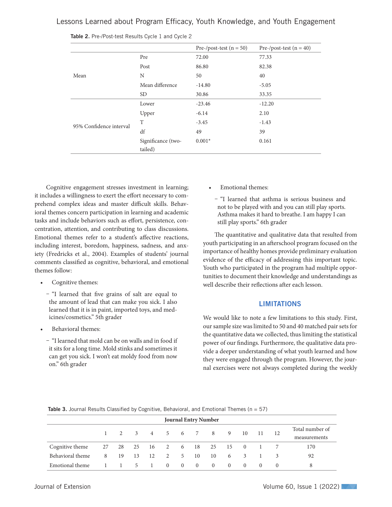Lessons Learned about Program Efficacy, Youth Knowledge, and Youth Engagement

|                         |                    | Pre-/post-test $(n = 50)$ | Pre-/post-test $(n = 40)$ |  |
|-------------------------|--------------------|---------------------------|---------------------------|--|
|                         | Pre                | 72.00                     | 77.33                     |  |
|                         | Post               | 86.80                     | 82.38                     |  |
| Mean                    | N                  | 50                        | 40                        |  |
|                         | Mean difference    | $-14.80$                  | $-5.05$                   |  |
|                         | SD <sub>1</sub>    | 30.86                     | 33.35                     |  |
|                         | Lower              | $-23.46$                  | $-12.20$                  |  |
|                         | Upper              | $-6.14$                   | 2.10                      |  |
| 95% Confidence interval | T                  | $-3.45$                   | $-1.43$                   |  |
|                         | df                 | 49                        | 39                        |  |
|                         | Significance (two- | $0.001*$                  | 0.161                     |  |
|                         | tailed)            |                           |                           |  |

Table 2. Pre-/Post-test Results Cycle 1 and Cycle 2

Cognitive engagement stresses investment in learning; it includes a willingness to exert the effort necessary to comprehend complex ideas and master difficult skills. Behavioral themes concern participation in learning and academic tasks and include behaviors such as effort, persistence, concentration, attention, and contributing to class discussions. Emotional themes refer to a student's affective reactions, including interest, boredom, happiness, sadness, and anxiety (Fredricks et al., 2004). Examples of students' journal comments classified as cognitive, behavioral, and emotional themes follow:

- Cognitive themes:
	- Ȥ "I learned that five grains of salt are equal to the amount of lead that can make you sick. I also learned that it is in paint, imported toys, and medicines/cosmetics." 5th grader
- Behavioral themes:
	- "I learned that mold can be on walls and in food if it sits for a long time. Mold stinks and sometimes it can get you sick. I won't eat moldy food from now on." 6th grader
- Emotional themes:
	- "I learned that asthma is serious business and not to be played with and you can still play sports. Asthma makes it hard to breathe. I am happy I can still play sports." 6th grader

The quantitative and qualitative data that resulted from youth participating in an afterschool program focused on the importance of healthy homes provide preliminary evaluation evidence of the efficacy of addressing this important topic. Youth who participated in the program had multiple opportunities to document their knowledge and understandings as well describe their reflections after each lesson.

#### **LIMITATIONS**

We would like to note a few limitations to this study. First, our sample size was limited to 50 and 40 matched pair sets for the quantitative data we collected, thus limiting the statistical power of our findings. Furthermore, the qualitative data provide a deeper understanding of what youth learned and how they were engaged through the program. However, the journal exercises were not always completed during the weekly

| <b>Table 3.</b> Journal Results Classified by Cognitive, Behavioral, and Emotional Themes ( $n = 57$ ) |  |
|--------------------------------------------------------------------------------------------------------|--|
|--------------------------------------------------------------------------------------------------------|--|

| <b>Journal Entry Number</b> |   |      |                |                |                |          |                |                                     |          |                           |                  |          |                 |
|-----------------------------|---|------|----------------|----------------|----------------|----------|----------------|-------------------------------------|----------|---------------------------|------------------|----------|-----------------|
|                             |   |      |                |                |                |          | 3 4 5 6 7 8    |                                     | 9        | 10                        | 11               | 12       | Total number of |
|                             |   |      |                |                |                |          |                |                                     |          |                           |                  |          | measurements    |
| Cognitive theme             |   |      |                |                |                |          |                | 27  28  25  16  2  6  18  25  15  0 |          |                           |                  |          | 170             |
| Behavioral theme            | 8 | - 19 | 13             | 12             | $\overline{2}$ | 5        | 10             | 10                                  | 6        | $\overline{\phantom{a}3}$ |                  |          | 92              |
| Emotional theme             |   |      | 5 <sup>1</sup> | $\overline{1}$ | $\Omega$       | $\theta$ | $\overline{0}$ | $\Omega$                            | $\Omega$ | $\Omega$                  | $\left( \right)$ | $\theta$ | 8               |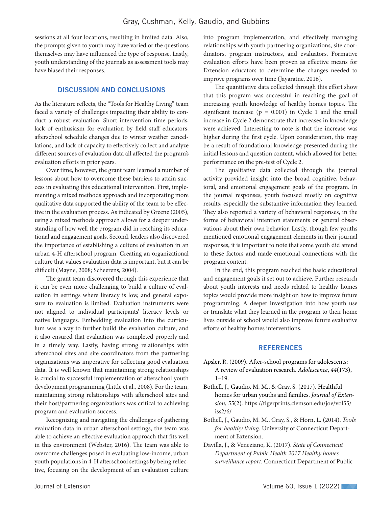sessions at all four locations, resulting in limited data. Also, the prompts given to youth may have varied or the questions themselves may have influenced the type of response. Lastly, youth understanding of the journals as assessment tools may have biased their responses.

#### DISCUSSION AND CONCLUSIONS

As the literature reflects, the "Tools for Healthy Living" team faced a variety of challenges impacting their ability to conduct a robust evaluation. Short intervention time periods, lack of enthusiasm for evaluation by field staff educators, afterschool schedule changes due to winter weather cancellations, and lack of capacity to effectively collect and analyze different sources of evaluation data all affected the program's evaluation efforts in prior years.

Over time, however, the grant team learned a number of lessons about how to overcome these barriers to attain success in evaluating this educational intervention. First, implementing a mixed methods approach and incorporating more qualitative data supported the ability of the team to be effective in the evaluation process. As indicated by Greene (2005), using a mixed methods approach allows for a deeper understanding of how well the program did in reaching its educational and engagement goals. Second, leaders also discovered the importance of establishing a culture of evaluation in an urban 4-H afterschool program. Creating an organizational culture that values evaluation data is important, but it can be difficult (Mayne, 2008; Scheerens, 2004).

The grant team discovered through this experience that it can be even more challenging to build a culture of evaluation in settings where literacy is low, and general exposure to evaluation is limited. Evaluation instruments were not aligned to individual participants' literacy levels or native languages. Embedding evaluation into the curriculum was a way to further build the evaluation culture, and it also ensured that evaluation was completed properly and in a timely way. Lastly, having strong relationships with afterschool sites and site coordinators from the partnering organizations was imperative for collecting good evaluation data. It is well known that maintaining strong relationships is crucial to successful implementation of afterschool youth development programming (Little et al., 2008). For the team, maintaining strong relationships with afterschool sites and their host/partnering organizations was critical to achieving program and evaluation success.

Recognizing and navigating the challenges of gathering evaluation data in urban afterschool settings, the team was able to achieve an effective evaluation approach that fits well in this environment (Webster, 2016). The team was able to overcome challenges posed in evaluating low-income, urban youth populations in 4-H afterschool settings by being reflective, focusing on the development of an evaluation culture

into program implementation, and effectively managing relationships with youth partnering organizations, site coordinators, program instructors, and evaluators. Formative evaluation efforts have been proven as effective means for Extension educators to determine the changes needed to improve programs over time (Jayaratne, 2016).

The quantitative data collected through this effort show that this program was successful in reaching the goal of increasing youth knowledge of healthy homes topics. The significant increase ( $p = 0.001$ ) in Cycle 1 and the small increase in Cycle 2 demonstrate that increases in knowledge were achieved. Interesting to note is that the increase was higher during the first cycle. Upon consideration, this may be a result of foundational knowledge presented during the initial lessons and question content, which allowed for better performance on the pre-test of Cycle 2.

The qualitative data collected through the journal activity provided insight into the broad cognitive, behavioral, and emotional engagement goals of the program. In the journal responses, youth focused mostly on cognitive results, especially the substantive information they learned. They also reported a variety of behavioral responses, in the forms of behavioral intention statements or general observations about their own behavior. Lastly, though few youths mentioned emotional engagement elements in their journal responses, it is important to note that some youth did attend to these factors and made emotional connections with the program content.

In the end, this program reached the basic educational and engagement goals it set out to achieve. Further research about youth interests and needs related to healthy homes topics would provide more insight on how to improve future programming. A deeper investigation into how youth use or translate what they learned in the program to their home lives outside of school would also improve future evaluative efforts of healthy homes interventions.

#### **REFERENCES**

- Apsler, R. (2009). After-school programs for adolescents: A review of evaluation research. *Adolescence*, *44*(173), 1–19.
- Bothell, J., Gaudio, M. M., & Gray, S. (2017). Healthful homes for urban youths and families. *Journal of Extension*, *55*(2). https://tigerprints.clemson.edu/joe/vol55/ iss2/6/
- Bothell, J., Gaudio, M. M., Gray, S., & Horn, L. (2014). *Tools for healthy living*. University of Connecticut Department of Extension.
- Davilla, J., & Veneziano, K. (2017). *State of Connecticut Department of Public Health 2017 Healthy homes surveillance report*. Connecticut Department of Public